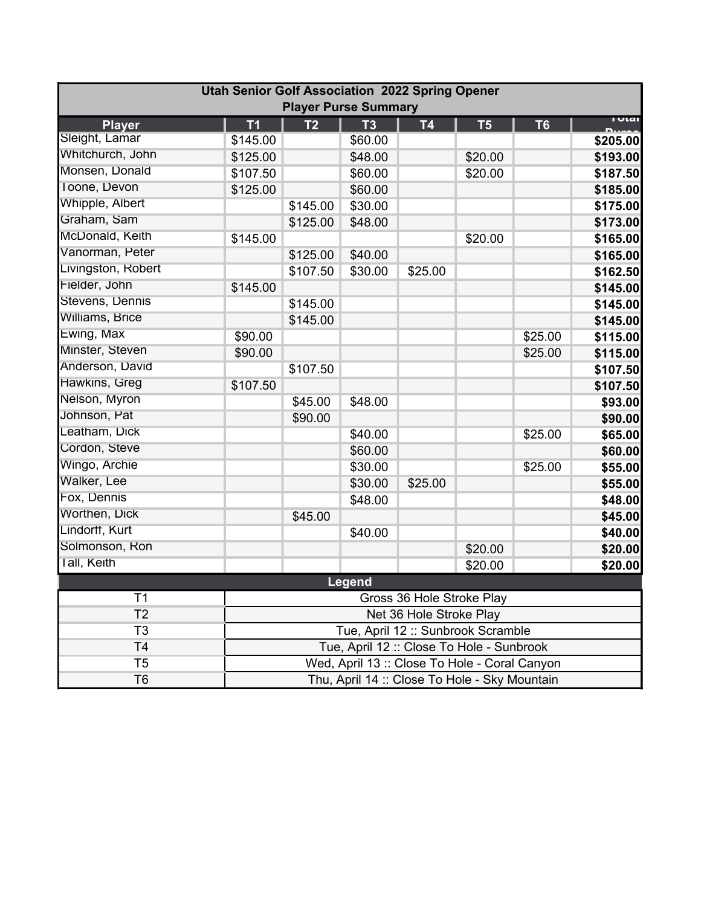|                    | <b>Utah Senior Golf Association 2022 Spring Opener</b> | <b>Player Purse Summary</b>               |               |                                               |                |                |               |  |  |  |  |
|--------------------|--------------------------------------------------------|-------------------------------------------|---------------|-----------------------------------------------|----------------|----------------|---------------|--|--|--|--|
| <b>Player</b>      | T <sub>1</sub>                                         | T <sub>2</sub>                            | <b>T3</b>     | <b>T4</b>                                     | T <sub>5</sub> | T <sub>6</sub> | <u>i vtai</u> |  |  |  |  |
| Sleight, Lamar     | \$145.00                                               |                                           | \$60.00       |                                               |                |                | \$205.00      |  |  |  |  |
| Whitchurch, John   | \$125.00                                               |                                           | \$48.00       |                                               | \$20.00        |                | \$193.00      |  |  |  |  |
| Monsen, Donald     | \$107.50                                               |                                           | \$60.00       |                                               | \$20.00        |                | \$187.50      |  |  |  |  |
| Toone, Devon       | \$125.00                                               |                                           | \$60.00       |                                               |                |                | \$185.00      |  |  |  |  |
| Whipple, Albert    |                                                        | \$145.00                                  | \$30.00       |                                               |                |                | \$175.00      |  |  |  |  |
| Graham, Sam        |                                                        | \$125.00                                  | \$48.00       |                                               |                |                | \$173.00      |  |  |  |  |
| McDonald, Keith    | \$145.00                                               |                                           |               |                                               | \$20.00        |                | \$165.00      |  |  |  |  |
| Vanorman, Peter    |                                                        | \$125.00                                  | \$40.00       |                                               |                |                | \$165.00      |  |  |  |  |
| Livingston, Robert |                                                        | \$107.50                                  | \$30.00       | \$25.00                                       |                |                | \$162.50      |  |  |  |  |
| Fielder, John      | \$145.00                                               |                                           |               |                                               |                |                | \$145.00      |  |  |  |  |
| Stevens, Dennis    |                                                        | \$145.00                                  |               |                                               |                |                | \$145.00      |  |  |  |  |
| Williams, Brice    |                                                        | \$145.00                                  |               |                                               |                |                | \$145.00      |  |  |  |  |
| Ewing, Max         | \$90.00                                                |                                           |               |                                               |                | \$25.00        | \$115.00      |  |  |  |  |
| Minster, Steven    | \$90.00                                                |                                           |               |                                               |                | \$25.00        | \$115.00      |  |  |  |  |
| Anderson, David    |                                                        | \$107.50                                  |               |                                               |                |                | \$107.50      |  |  |  |  |
| Hawkins, Greg      | \$107.50                                               |                                           |               |                                               |                |                | \$107.50      |  |  |  |  |
| Nelson, Myron      |                                                        | \$45.00                                   | \$48.00       |                                               |                |                | \$93.00       |  |  |  |  |
| Johnson, Pat       |                                                        | \$90.00                                   |               |                                               |                |                | \$90.00       |  |  |  |  |
| Leatham, Dick      |                                                        |                                           | \$40.00       |                                               |                | \$25.00        | \$65.00       |  |  |  |  |
| Cordon, Steve      |                                                        |                                           | \$60.00       |                                               |                |                | \$60.00       |  |  |  |  |
| Wingo, Archie      |                                                        |                                           | \$30.00       |                                               |                | \$25.00        | \$55.00       |  |  |  |  |
| Walker, Lee        |                                                        |                                           | \$30.00       | \$25.00                                       |                |                | \$55.00       |  |  |  |  |
| Fox, Dennis        |                                                        |                                           | \$48.00       |                                               |                |                | \$48.00       |  |  |  |  |
| Worthen, Dick      |                                                        | \$45.00                                   |               |                                               |                |                | \$45.00       |  |  |  |  |
| Lindorff, Kurt     |                                                        |                                           | \$40.00       |                                               |                |                | \$40.00       |  |  |  |  |
| Solmonson, Ron     |                                                        |                                           |               |                                               | \$20.00        |                | \$20.00       |  |  |  |  |
| Tall, Keith        |                                                        |                                           |               |                                               | \$20.00        |                | \$20.00       |  |  |  |  |
|                    |                                                        |                                           | <b>Legend</b> |                                               |                |                |               |  |  |  |  |
| T1                 |                                                        |                                           |               | Gross 36 Hole Stroke Play                     |                |                |               |  |  |  |  |
| T <sub>2</sub>     |                                                        | Net 36 Hole Stroke Play                   |               |                                               |                |                |               |  |  |  |  |
| T <sub>3</sub>     |                                                        |                                           |               | Tue, April 12 :: Sunbrook Scramble            |                |                |               |  |  |  |  |
| T <sub>4</sub>     |                                                        | Tue, April 12 :: Close To Hole - Sunbrook |               |                                               |                |                |               |  |  |  |  |
| T <sub>5</sub>     |                                                        |                                           |               | Wed, April 13 :: Close To Hole - Coral Canyon |                |                |               |  |  |  |  |
| T <sub>6</sub>     |                                                        |                                           |               | Thu, April 14 :: Close To Hole - Sky Mountain |                |                |               |  |  |  |  |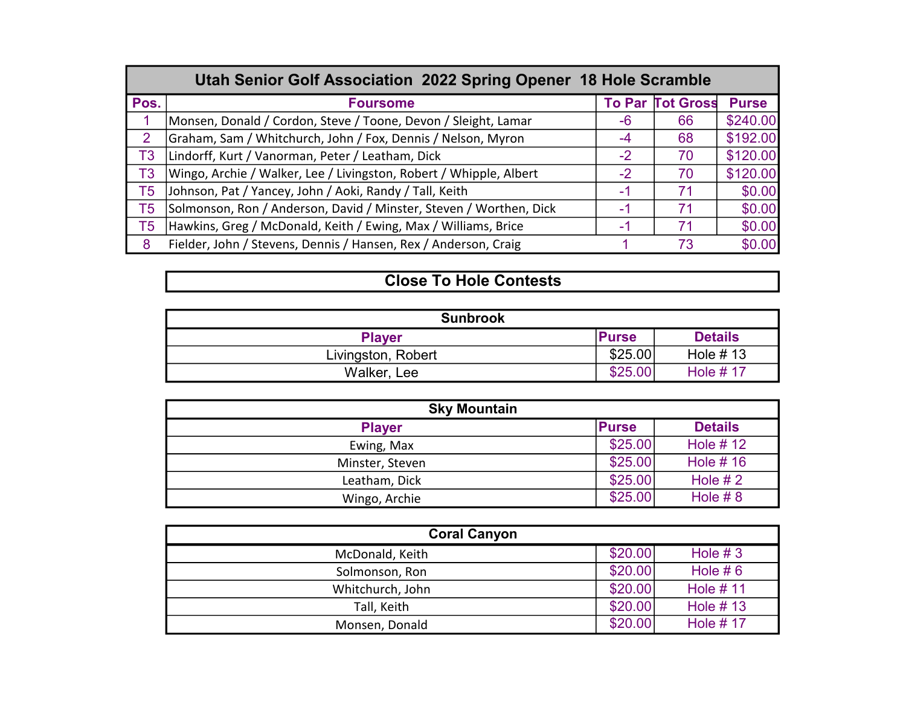|                | Utah Senior Golf Association 2022 Spring Opener 18 Hole Scramble   |      |                         |              |  |  |  |  |  |  |  |  |
|----------------|--------------------------------------------------------------------|------|-------------------------|--------------|--|--|--|--|--|--|--|--|
| Pos.           | <b>Foursome</b>                                                    |      | <b>To Par Tot Gross</b> | <b>Purse</b> |  |  |  |  |  |  |  |  |
|                | Monsen, Donald / Cordon, Steve / Toone, Devon / Sleight, Lamar     | -6   | 66                      | \$240.00     |  |  |  |  |  |  |  |  |
| $\overline{2}$ | Graham, Sam / Whitchurch, John / Fox, Dennis / Nelson, Myron       | -4   | 68                      | \$192.00     |  |  |  |  |  |  |  |  |
| T <sub>3</sub> | Lindorff, Kurt / Vanorman, Peter / Leatham, Dick                   | $-2$ | 70                      | \$120.00     |  |  |  |  |  |  |  |  |
| T <sub>3</sub> | Wingo, Archie / Walker, Lee / Livingston, Robert / Whipple, Albert | -2   | 70                      | \$120.00     |  |  |  |  |  |  |  |  |
| T5             | Johnson, Pat / Yancey, John / Aoki, Randy / Tall, Keith            | -1   | 71                      | \$0.00       |  |  |  |  |  |  |  |  |
| T5             | Solmonson, Ron / Anderson, David / Minster, Steven / Worthen, Dick | -1   | 71                      | \$0.00       |  |  |  |  |  |  |  |  |
| T5             | Hawkins, Greg / McDonald, Keith / Ewing, Max / Williams, Brice     | -1   | 71                      | \$0.00       |  |  |  |  |  |  |  |  |
| 8              | Fielder, John / Stevens, Dennis / Hansen, Rex / Anderson, Craig    |      | 73                      | \$0.00       |  |  |  |  |  |  |  |  |

## **Close To Hole Contests**

| <b>Sunbrook</b>    |              |                |  |  |  |  |  |  |  |  |
|--------------------|--------------|----------------|--|--|--|--|--|--|--|--|
| <b>Player</b>      | <b>Purse</b> | <b>Details</b> |  |  |  |  |  |  |  |  |
| Livingston, Robert | \$25.00      | Hole $# 13$    |  |  |  |  |  |  |  |  |
| Walker, Lee        | \$25.00      | Hole $# 17$    |  |  |  |  |  |  |  |  |

| <b>Sky Mountain</b> |              |                 |
|---------------------|--------------|-----------------|
| <b>Player</b>       | <b>Purse</b> | <b>Details</b>  |
| Ewing, Max          | \$25.00      | <b>Hole #12</b> |
| Minster, Steven     | \$25.00      | Hole $# 16$     |
| Leatham, Dick       | \$25.00      | Hole $#2$       |
| Wingo, Archie       | \$25.00      | Hole $#8$       |

| <b>Coral Canyon</b> |         |             |  |  |  |  |  |  |  |  |
|---------------------|---------|-------------|--|--|--|--|--|--|--|--|
| McDonald, Keith     | \$20.00 | Hole $#3$   |  |  |  |  |  |  |  |  |
| Solmonson, Ron      | \$20.00 | Hole $# 6$  |  |  |  |  |  |  |  |  |
| Whitchurch, John    | \$20.00 | Hole $# 11$ |  |  |  |  |  |  |  |  |
| Tall, Keith         | \$20.00 | Hole $# 13$ |  |  |  |  |  |  |  |  |
| Monsen, Donald      | \$20.00 | Hole $# 17$ |  |  |  |  |  |  |  |  |